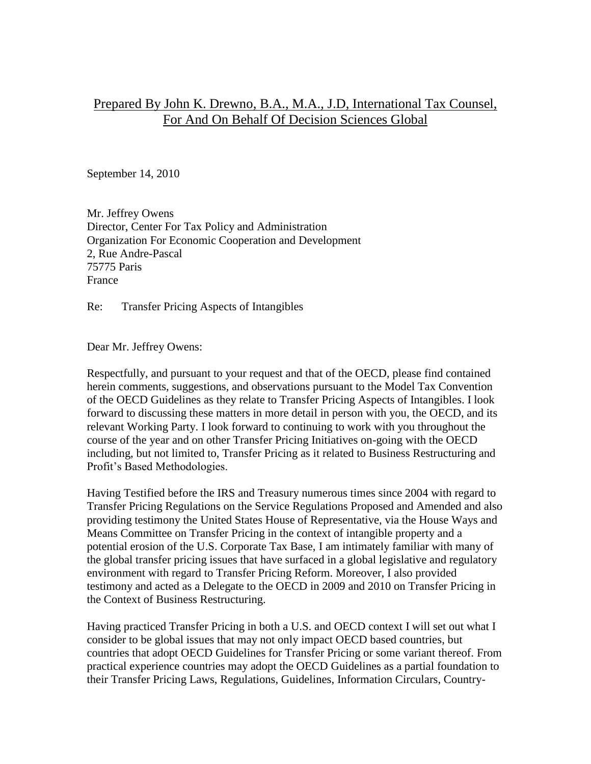# Prepared By John K. Drewno, B.A., M.A., J.D, International Tax Counsel, For And On Behalf Of Decision Sciences Global

September 14, 2010

Mr. Jeffrey Owens Director, Center For Tax Policy and Administration Organization For Economic Cooperation and Development 2, Rue Andre-Pascal 75775 Paris France

Re: Transfer Pricing Aspects of Intangibles

Dear Mr. Jeffrey Owens:

Respectfully, and pursuant to your request and that of the OECD, please find contained herein comments, suggestions, and observations pursuant to the Model Tax Convention of the OECD Guidelines as they relate to Transfer Pricing Aspects of Intangibles. I look forward to discussing these matters in more detail in person with you, the OECD, and its relevant Working Party. I look forward to continuing to work with you throughout the course of the year and on other Transfer Pricing Initiatives on-going with the OECD including, but not limited to, Transfer Pricing as it related to Business Restructuring and Profit's Based Methodologies.

Having Testified before the IRS and Treasury numerous times since 2004 with regard to Transfer Pricing Regulations on the Service Regulations Proposed and Amended and also providing testimony the United States House of Representative, via the House Ways and Means Committee on Transfer Pricing in the context of intangible property and a potential erosion of the U.S. Corporate Tax Base, I am intimately familiar with many of the global transfer pricing issues that have surfaced in a global legislative and regulatory environment with regard to Transfer Pricing Reform. Moreover, I also provided testimony and acted as a Delegate to the OECD in 2009 and 2010 on Transfer Pricing in the Context of Business Restructuring.

Having practiced Transfer Pricing in both a U.S. and OECD context I will set out what I consider to be global issues that may not only impact OECD based countries, but countries that adopt OECD Guidelines for Transfer Pricing or some variant thereof. From practical experience countries may adopt the OECD Guidelines as a partial foundation to their Transfer Pricing Laws, Regulations, Guidelines, Information Circulars, Country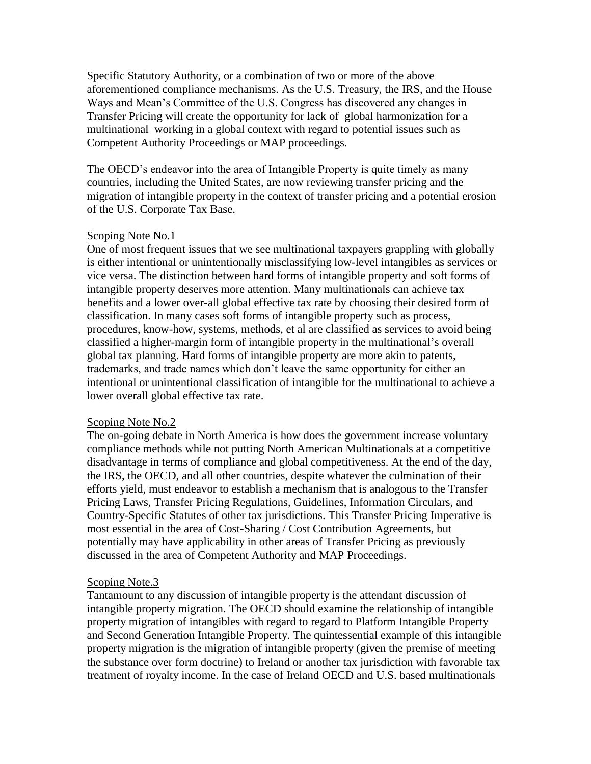Specific Statutory Authority, or a combination of two or more of the above aforementioned compliance mechanisms. As the U.S. Treasury, the IRS, and the House Ways and Mean's Committee of the U.S. Congress has discovered any changes in Transfer Pricing will create the opportunity for lack of global harmonization for a multinational working in a global context with regard to potential issues such as Competent Authority Proceedings or MAP proceedings.

The OECD's endeavor into the area of Intangible Property is quite timely as many countries, including the United States, are now reviewing transfer pricing and the migration of intangible property in the context of transfer pricing and a potential erosion of the U.S. Corporate Tax Base.

## Scoping Note No.1

One of most frequent issues that we see multinational taxpayers grappling with globally is either intentional or unintentionally misclassifying low-level intangibles as services or vice versa. The distinction between hard forms of intangible property and soft forms of intangible property deserves more attention. Many multinationals can achieve tax benefits and a lower over-all global effective tax rate by choosing their desired form of classification. In many cases soft forms of intangible property such as process, procedures, know-how, systems, methods, et al are classified as services to avoid being classified a higher-margin form of intangible property in the multinational's overall global tax planning. Hard forms of intangible property are more akin to patents, trademarks, and trade names which don't leave the same opportunity for either an intentional or unintentional classification of intangible for the multinational to achieve a lower overall global effective tax rate.

#### Scoping Note No.2

The on-going debate in North America is how does the government increase voluntary compliance methods while not putting North American Multinationals at a competitive disadvantage in terms of compliance and global competitiveness. At the end of the day, the IRS, the OECD, and all other countries, despite whatever the culmination of their efforts yield, must endeavor to establish a mechanism that is analogous to the Transfer Pricing Laws, Transfer Pricing Regulations, Guidelines, Information Circulars, and Country-Specific Statutes of other tax jurisdictions. This Transfer Pricing Imperative is most essential in the area of Cost-Sharing / Cost Contribution Agreements, but potentially may have applicability in other areas of Transfer Pricing as previously discussed in the area of Competent Authority and MAP Proceedings.

## Scoping Note.3

Tantamount to any discussion of intangible property is the attendant discussion of intangible property migration. The OECD should examine the relationship of intangible property migration of intangibles with regard to regard to Platform Intangible Property and Second Generation Intangible Property. The quintessential example of this intangible property migration is the migration of intangible property (given the premise of meeting the substance over form doctrine) to Ireland or another tax jurisdiction with favorable tax treatment of royalty income. In the case of Ireland OECD and U.S. based multinationals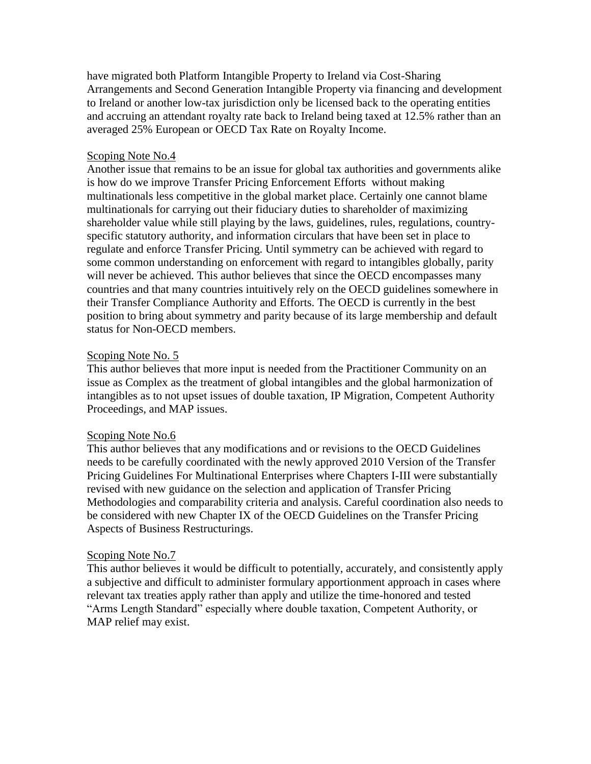have migrated both Platform Intangible Property to Ireland via Cost-Sharing Arrangements and Second Generation Intangible Property via financing and development to Ireland or another low-tax jurisdiction only be licensed back to the operating entities and accruing an attendant royalty rate back to Ireland being taxed at 12.5% rather than an averaged 25% European or OECD Tax Rate on Royalty Income.

## Scoping Note No.4

Another issue that remains to be an issue for global tax authorities and governments alike is how do we improve Transfer Pricing Enforcement Efforts without making multinationals less competitive in the global market place. Certainly one cannot blame multinationals for carrying out their fiduciary duties to shareholder of maximizing shareholder value while still playing by the laws, guidelines, rules, regulations, countryspecific statutory authority, and information circulars that have been set in place to regulate and enforce Transfer Pricing. Until symmetry can be achieved with regard to some common understanding on enforcement with regard to intangibles globally, parity will never be achieved. This author believes that since the OECD encompasses many countries and that many countries intuitively rely on the OECD guidelines somewhere in their Transfer Compliance Authority and Efforts. The OECD is currently in the best position to bring about symmetry and parity because of its large membership and default status for Non-OECD members.

## Scoping Note No. 5

This author believes that more input is needed from the Practitioner Community on an issue as Complex as the treatment of global intangibles and the global harmonization of intangibles as to not upset issues of double taxation, IP Migration, Competent Authority Proceedings, and MAP issues.

#### Scoping Note No.6

This author believes that any modifications and or revisions to the OECD Guidelines needs to be carefully coordinated with the newly approved 2010 Version of the Transfer Pricing Guidelines For Multinational Enterprises where Chapters I-III were substantially revised with new guidance on the selection and application of Transfer Pricing Methodologies and comparability criteria and analysis. Careful coordination also needs to be considered with new Chapter IX of the OECD Guidelines on the Transfer Pricing Aspects of Business Restructurings.

#### Scoping Note No.7

This author believes it would be difficult to potentially, accurately, and consistently apply a subjective and difficult to administer formulary apportionment approach in cases where relevant tax treaties apply rather than apply and utilize the time-honored and tested "Arms Length Standard" especially where double taxation, Competent Authority, or MAP relief may exist.